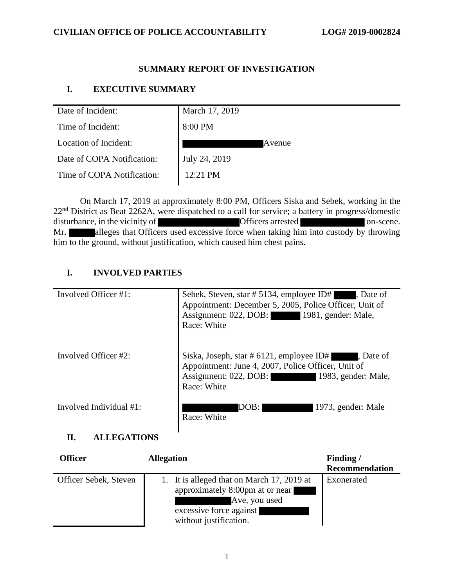#### **CIVILIAN OFFICE OF POLICE ACCOUNTABILITY LOG# 2019-0002824**

### **SUMMARY REPORT OF INVESTIGATION**

#### **I. EXECUTIVE SUMMARY**

| Date of Incident:          | March 17, 2019     |
|----------------------------|--------------------|
| Time of Incident:          | 8:00 PM            |
| Location of Incident:      | Avenue             |
| Date of COPA Notification: | July 24, 2019      |
| Time of COPA Notification: | $12:21 \text{ PM}$ |

On March 17, 2019 at approximately 8:00 PM, Officers Siska and Sebek, working in the 22<sup>nd</sup> District as Beat 2262A, were dispatched to a call for service; a battery in progress/domestic disturbance, in the vicinity of **Officers** arrested **on-scene**. Mr. alleges that Officers used excessive force when taking him into custody by throwing him to the ground, without justification, which caused him chest pains.

#### **I. INVOLVED PARTIES**

| Involved Officer #1:    | Sebek, Steven, star # 5134, employee ID#<br>$\blacksquare$ , Date of<br>Appointment: December 5, 2005, Police Officer, Unit of<br>Assignment: 022, DOB: 1981, gender: Male,<br>Race: White |
|-------------------------|--------------------------------------------------------------------------------------------------------------------------------------------------------------------------------------------|
| Involved Officer #2:    | Siska, Joseph, star # 6121, employee ID#<br>. Date of<br>Appointment: June 4, 2007, Police Officer, Unit of<br>Assignment: 022, DOB: 1983, gender: Male,<br>Race: White                    |
| Involved Individual #1: | 1973, gender: Male<br>DOB:<br>Race: White                                                                                                                                                  |

#### **II. ALLEGATIONS**

| <b>Officer</b>        | <b>Allegation</b>                                                                                                                                   | Finding/              |
|-----------------------|-----------------------------------------------------------------------------------------------------------------------------------------------------|-----------------------|
|                       |                                                                                                                                                     | <b>Recommendation</b> |
| Officer Sebek, Steven | 1. It is alleged that on March 17, 2019 at<br>approximately 8:00pm at or near<br>Ave, you used<br>excessive force against<br>without justification. | Exonerated            |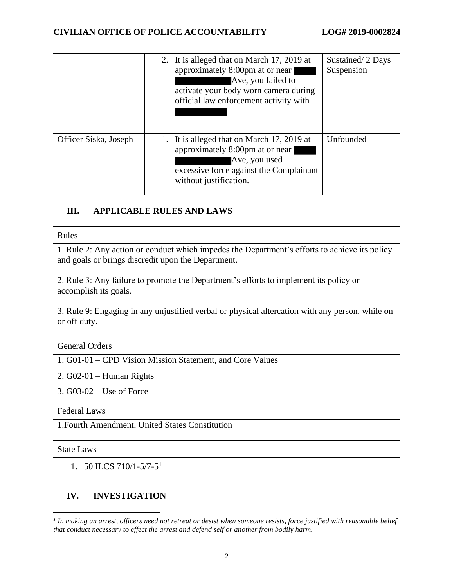|                       | 2. It is alleged that on March 17, 2019 at<br>approximately 8:00pm at or near<br>Ave, you failed to<br>activate your body worn camera during<br>official law enforcement activity with | Sustained/2 Days<br>Suspension |
|-----------------------|----------------------------------------------------------------------------------------------------------------------------------------------------------------------------------------|--------------------------------|
| Officer Siska, Joseph | 1. It is alleged that on March 17, 2019 at<br>approximately 8:00pm at or near<br>Ave, you used<br>excessive force against the Complainant<br>without justification.                    | Unfounded                      |

### **III. APPLICABLE RULES AND LAWS**

#### Rules

1. Rule 2: Any action or conduct which impedes the Department's efforts to achieve its policy and goals or brings discredit upon the Department.

2. Rule 3: Any failure to promote the Department's efforts to implement its policy or accomplish its goals.

3. Rule 9: Engaging in any unjustified verbal or physical altercation with any person, while on or off duty.

| <b>General Orders</b> |  |  |  |
|-----------------------|--|--|--|

1. G01-01 – CPD Vision Mission Statement, and Core Values

2. G02-01 – Human Rights

3. G03-02 – Use of Force

Federal Laws

1.Fourth Amendment, United States Constitution

State Laws

1. 50 ILCS 710/1-5/7-5 1

### **IV. INVESTIGATION**

*<sup>1</sup> In making an arrest, officers need not retreat or desist when someone resists, force justified with reasonable belief that conduct necessary to effect the arrest and defend self or another from bodily harm.*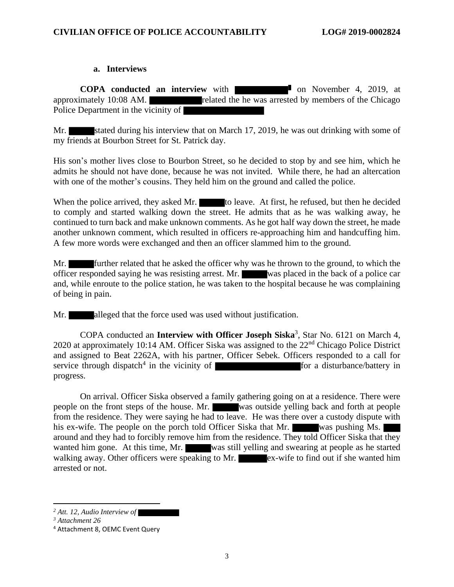#### **a. Interviews**

**COPA conducted an interview** with **the conducted an interview** with **on November 4, 2019, at** approximately  $10:08$  AM. related the he was arrested by members of the Chicago Police Department in the vicinity of

Mr. stated during his interview that on March 17, 2019, he was out drinking with some of my friends at Bourbon Street for St. Patrick day.

His son's mother lives close to Bourbon Street, so he decided to stop by and see him, which he admits he should not have done, because he was not invited. While there, he had an altercation with one of the mother's cousins. They held him on the ground and called the police.

When the police arrived, they asked Mr. to leave. At first, he refused, but then he decided to comply and started walking down the street. He admits that as he was walking away, he continued to turn back and make unknown comments. As he got half way down the street, he made another unknown comment, which resulted in officers re-approaching him and handcuffing him. A few more words were exchanged and then an officer slammed him to the ground.

Mr. **Further related that he asked the officer why was he thrown to the ground, to which the** officer responded saying he was resisting arrest. Mr. was placed in the back of a police car and, while enroute to the police station, he was taken to the hospital because he was complaining of being in pain.

Mr. **alleged that the force used was used without justification.** 

COPA conducted an **Interview with Officer Joseph Siska**<sup>3</sup>, Star No. 6121 on March 4, 2020 at approximately 10:14 AM. Officer Siska was assigned to the 22nd Chicago Police District and assigned to Beat 2262A, with his partner, Officer Sebek. Officers responded to a call for service through dispatch<sup>4</sup> in the vicinity of  $\blacksquare$  for a disturbance/battery in progress.

On arrival. Officer Siska observed a family gathering going on at a residence. There were people on the front steps of the house. Mr. was outside yelling back and forth at people from the residence. They were saying he had to leave. He was there over a custody dispute with his ex-wife. The people on the porch told Officer Siska that Mr. was pushing Ms. around and they had to forcibly remove him from the residence. They told Officer Siska that they wanted him gone. At this time, Mr. was still yelling and swearing at people as he started walking away. Other officers were speaking to Mr.  $\frac{1}{\sqrt{2\pi}}$  ex-wife to find out if she wanted him arrested or not.

*<sup>2</sup> Att. 12, Audio Interview of* 

*<sup>3</sup> Attachment 26*

<sup>4</sup> Attachment 8, OEMC Event Query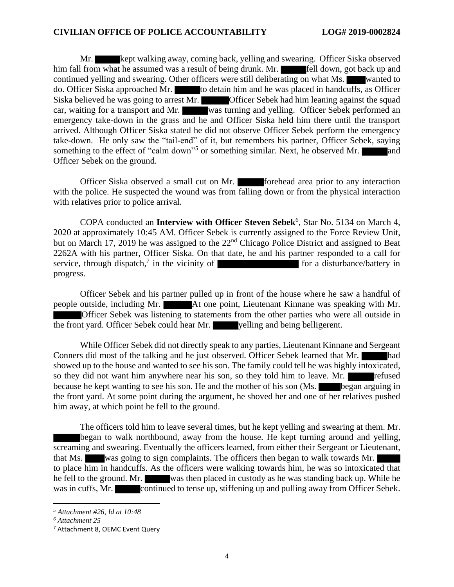Mr. **Kept walking away, coming back, yelling and swearing. Officer Siska observed** him fall from what he assumed was a result of being drunk. Mr. **Fell down**, got back up and continued yelling and swearing. Other officers were still deliberating on what Ms. wanted to do. Officer Siska approached Mr. to detain him and he was placed in handcuffs, as Officer Siska believed he was going to arrest Mr. Officer Sebek had him leaning against the squad car, waiting for a transport and Mr. was turning and yelling. Officer Sebek performed an emergency take-down in the grass and he and Officer Siska held him there until the transport arrived. Although Officer Siska stated he did not observe Officer Sebek perform the emergency take-down. He only saw the "tail-end" of it, but remembers his partner, Officer Sebek, saying something to the effect of "calm down"<sup>5</sup> or something similar. Next, he observed Mr. and Officer Sebek on the ground.

Officer Siska observed a small cut on Mr. **Forehead area prior to any interaction** with the police. He suspected the wound was from falling down or from the physical interaction with relatives prior to police arrival.

COPA conducted an **Interview with Officer Steven Sebek**<sup>6</sup>, Star No. 5134 on March 4, 2020 at approximately 10:45 AM. Officer Sebek is currently assigned to the Force Review Unit, but on March 17, 2019 he was assigned to the 22nd Chicago Police District and assigned to Beat 2262A with his partner, Officer Siska. On that date, he and his partner responded to a call for service, through dispatch,<sup>7</sup> in the vicinity of  $\blacksquare$  for a disturbance/battery in progress.

Officer Sebek and his partner pulled up in front of the house where he saw a handful of people outside, including Mr. At one point, Lieutenant Kinnane was speaking with Mr. Officer Sebek was listening to statements from the other parties who were all outside in the front yard. Officer Sebek could hear Mr. yelling and being belligerent.

While Officer Sebek did not directly speak to any parties, Lieutenant Kinnane and Sergeant Conners did most of the talking and he just observed. Officer Sebek learned that Mr. had showed up to the house and wanted to see his son. The family could tell he was highly intoxicated, so they did not want him anywhere near his son, so they told him to leave. Mr. because he kept wanting to see his son. He and the mother of his son (Ms. began arguing in the front yard. At some point during the argument, he shoved her and one of her relatives pushed him away, at which point he fell to the ground.

The officers told him to leave several times, but he kept yelling and swearing at them. Mr. began to walk northbound, away from the house. He kept turning around and yelling, screaming and swearing. Eventually the officers learned, from either their Sergeant or Lieutenant, that Ms. was going to sign complaints. The officers then began to walk towards Mr. to place him in handcuffs. As the officers were walking towards him, he was so intoxicated that he fell to the ground. Mr. was then placed in custody as he was standing back up. While he was in cuffs, Mr. continued to tense up, stiffening up and pulling away from Officer Sebek.

*<sup>5</sup> Attachment #26, Id at 10:48*

*<sup>6</sup> Attachment 25*

<sup>7</sup> Attachment 8, OEMC Event Query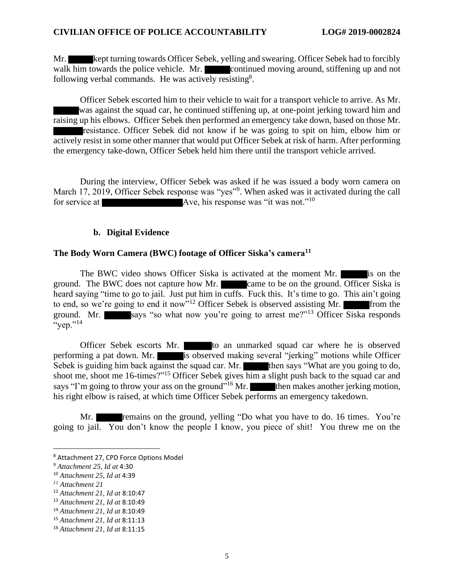Mr. kept turning towards Officer Sebek, yelling and swearing. Officer Sebek had to forcibly walk him towards the police vehicle. Mr. continued moving around, stiffening up and not following verbal commands. He was actively resisting<sup>8</sup>.

Officer Sebek escorted him to their vehicle to wait for a transport vehicle to arrive. As Mr. was against the squad car, he continued stiffening up, at one-point jerking toward him and raising up his elbows. Officer Sebek then performed an emergency take down, based on those Mr. resistance. Officer Sebek did not know if he was going to spit on him, elbow him or actively resist in some other manner that would put Officer Sebek at risk of harm. After performing the emergency take-down, Officer Sebek held him there until the transport vehicle arrived.

During the interview, Officer Sebek was asked if he was issued a body worn camera on March 17, 2019, Officer Sebek response was "yes"<sup>9</sup>. When asked was it activated during the call for service at **Ave, his response was** "it was not."<sup>10</sup>

#### **b. Digital Evidence**

#### **The Body Worn Camera (BWC) footage of Officer Siska's camera<sup>11</sup>**

The BWC video shows Officer Siska is activated at the moment Mr. is on the ground. The BWC does not capture how Mr. came to be on the ground. Officer Siska is heard saying "time to go to jail. Just put him in cuffs. Fuck this. It's time to go. This ain't going to end, so we're going to end it now"<sup>12</sup> Officer Sebek is observed assisting Mr. **From the** ground. Mr. says "so what now you're going to arrest me?"<sup>13</sup> Officer Siska responds  $``<sub>vep</sub>."<sup>14</sup>$ 

Officer Sebek escorts Mr. to an unmarked squad car where he is observed performing a pat down. Mr. is observed making several "jerking" motions while Officer Sebek is guiding him back against the squad car. Mr. then says "What are you going to do, shoot me, shoot me 16-times?"<sup>15</sup> Officer Sebek gives him a slight push back to the squad car and says "I'm going to throw your ass on the ground"<sup>16</sup> Mr. then makes another jerking motion, his right elbow is raised, at which time Officer Sebek performs an emergency takedown.

Mr. **remains on the ground, yelling "Do what you have to do. 16 times.** You're going to jail. You don't know the people I know, you piece of shit! You threw me on the

<sup>8</sup> Attachment 27, CPD Force Options Model

<sup>9</sup> *Attachment 25, Id at* 4:30

<sup>10</sup> *Attachment 25, Id at* 4:39

*<sup>11</sup> Attachment 21*

<sup>12</sup> *Attachment 21, Id at* 8:10:47

<sup>13</sup> *Attachment 21, Id at* 8:10:49

<sup>14</sup> *Attachment 21, Id at* 8:10:49

<sup>15</sup> *Attachment 21, Id at* 8:11:13

<sup>16</sup> *Attachment 21, Id at* 8:11:15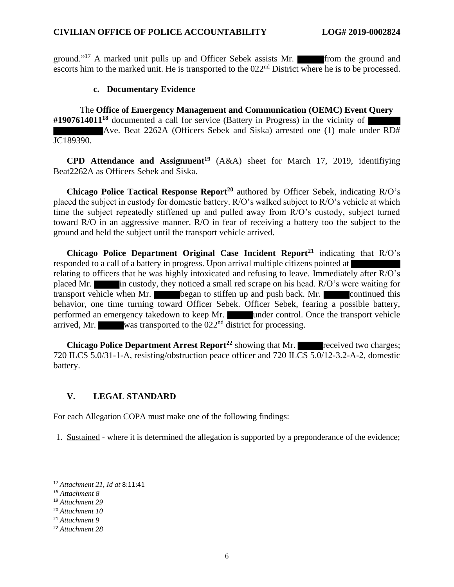ground."<sup>17</sup> A marked unit pulls up and Officer Sebek assists Mr. from the ground and escorts him to the marked unit. He is transported to the  $022<sup>nd</sup>$  District where he is to be processed.

#### **c. Documentary Evidence**

The **Office of Emergency Management and Communication (OEMC) Event Query #1907614011<sup>18</sup>** documented a call for service (Battery in Progress) in the vicinity of Ave. Beat 2262A (Officers Sebek and Siska) arrested one (1) male under RD# JC189390.

**CPD Attendance and Assignment<sup>19</sup>** (A&A) sheet for March 17, 2019, identifiying Beat2262A as Officers Sebek and Siska.

**Chicago Police Tactical Response Report<sup>20</sup>** authored by Officer Sebek, indicating R/O's placed the subject in custody for domestic battery. R/O's walked subject to R/O's vehicle at which time the subject repeatedly stiffened up and pulled away from R/O's custody, subject turned toward R/O in an aggressive manner. R/O in fear of receiving a battery too the subject to the ground and held the subject until the transport vehicle arrived.

**Chicago Police Department Original Case Incident Report<sup>21</sup>** indicating that R/O's responded to a call of a battery in progress. Upon arrival multiple citizens pointed at relating to officers that he was highly intoxicated and refusing to leave. Immediately after R/O's placed Mr. in custody, they noticed a small red scrape on his head. R/O's were waiting for transport vehicle when Mr. began to stiffen up and push back. Mr. continued this behavior, one time turning toward Officer Sebek. Officer Sebek, fearing a possible battery, performed an emergency takedown to keep Mr. under control. Once the transport vehicle arrived, Mr. was transported to the  $022<sup>nd</sup>$  district for processing.

**Chicago Police Department Arrest Report<sup>22</sup> showing that Mr. received two charges;** 720 ILCS 5.0/31-1-A, resisting/obstruction peace officer and 720 ILCS 5.0/12-3.2-A-2, domestic battery.

### **V. LEGAL STANDARD**

For each Allegation COPA must make one of the following findings:

1. Sustained - where it is determined the allegation is supported by a preponderance of the evidence;

<sup>17</sup> *Attachment 21, Id at* 8:11:41

*<sup>18</sup> Attachment 8*

<sup>19</sup> *Attachment 29*

<sup>20</sup> *Attachment 10*

<sup>21</sup> *Attachment 9*

<sup>22</sup> *Attachment 28*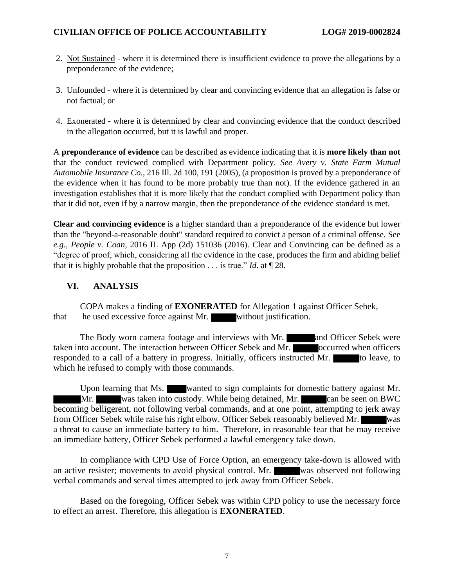- 2. Not Sustained where it is determined there is insufficient evidence to prove the allegations by a preponderance of the evidence;
- 3. Unfounded where it is determined by clear and convincing evidence that an allegation is false or not factual; or
- 4. Exonerated where it is determined by clear and convincing evidence that the conduct described in the allegation occurred, but it is lawful and proper.

A **preponderance of evidence** can be described as evidence indicating that it is **more likely than not** that the conduct reviewed complied with Department policy. *See Avery v. State Farm Mutual Automobile Insurance Co.*, 216 Ill. 2d 100, 191 (2005), (a proposition is proved by a preponderance of the evidence when it has found to be more probably true than not). If the evidence gathered in an investigation establishes that it is more likely that the conduct complied with Department policy than that it did not, even if by a narrow margin, then the preponderance of the evidence standard is met.

**Clear and convincing evidence** is a higher standard than a preponderance of the evidence but lower than the "beyond-a-reasonable doubt" standard required to convict a person of a criminal offense. See *e.g.*, *People v. Coan*, 2016 IL App (2d) 151036 (2016). Clear and Convincing can be defined as a "degree of proof, which, considering all the evidence in the case, produces the firm and abiding belief that it is highly probable that the proposition  $\ldots$  is true." *Id.* at  $\P$  28.

## **VI. ANALYSIS**

COPA makes a finding of **EXONERATED** for Allegation 1 against Officer Sebek, that he used excessive force against Mr. without justification.

The Body worn camera footage and interviews with Mr. **and Officer Sebek were** taken into account. The interaction between Officer Sebek and Mr. occurred when officers responded to a call of a battery in progress. Initially, officers instructed Mr. to leave, to which he refused to comply with those commands.

Upon learning that Ms. wanted to sign complaints for domestic battery against Mr. Mr. was taken into custody. While being detained, Mr. can be seen on BWC becoming belligerent, not following verbal commands, and at one point, attempting to jerk away from Officer Sebek while raise his right elbow. Officer Sebek reasonably believed Mr. was a threat to cause an immediate battery to him. Therefore, in reasonable fear that he may receive an immediate battery, Officer Sebek performed a lawful emergency take down.

In compliance with CPD Use of Force Option, an emergency take-down is allowed with an active resister; movements to avoid physical control. Mr. was observed not following verbal commands and serval times attempted to jerk away from Officer Sebek.

Based on the foregoing, Officer Sebek was within CPD policy to use the necessary force to effect an arrest. Therefore, this allegation is **EXONERATED**.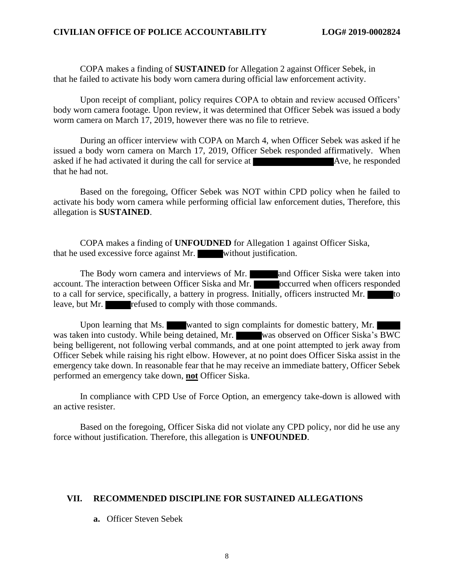COPA makes a finding of **SUSTAINED** for Allegation 2 against Officer Sebek, in that he failed to activate his body worn camera during official law enforcement activity.

Upon receipt of compliant, policy requires COPA to obtain and review accused Officers' body worn camera footage. Upon review, it was determined that Officer Sebek was issued a body worm camera on March 17, 2019, however there was no file to retrieve.

During an officer interview with COPA on March 4, when Officer Sebek was asked if he issued a body worn camera on March 17, 2019, Officer Sebek responded affirmatively. When asked if he had activated it during the call for service at Ave, he responded that he had not.

Based on the foregoing, Officer Sebek was NOT within CPD policy when he failed to activate his body worn camera while performing official law enforcement duties, Therefore, this allegation is **SUSTAINED**.

COPA makes a finding of **UNFOUDNED** for Allegation 1 against Officer Siska, that he used excessive force against Mr. without justification.

The Body worn camera and interviews of Mr. **and Officer Siska were taken into** account. The interaction between Officer Siska and Mr. coccurred when officers responded to a call for service, specifically, a battery in progress. Initially, officers instructed Mr. leave, but Mr. refused to comply with those commands.

Upon learning that Ms. wanted to sign complaints for domestic battery, Mr. was taken into custody. While being detained, Mr. was observed on Officer Siska's BWC being belligerent, not following verbal commands, and at one point attempted to jerk away from Officer Sebek while raising his right elbow. However, at no point does Officer Siska assist in the emergency take down. In reasonable fear that he may receive an immediate battery, Officer Sebek performed an emergency take down, **not** Officer Siska.

In compliance with CPD Use of Force Option, an emergency take-down is allowed with an active resister.

Based on the foregoing, Officer Siska did not violate any CPD policy, nor did he use any force without justification. Therefore, this allegation is **UNFOUNDED**.

#### **VII. RECOMMENDED DISCIPLINE FOR SUSTAINED ALLEGATIONS**

#### **a.** Officer Steven Sebek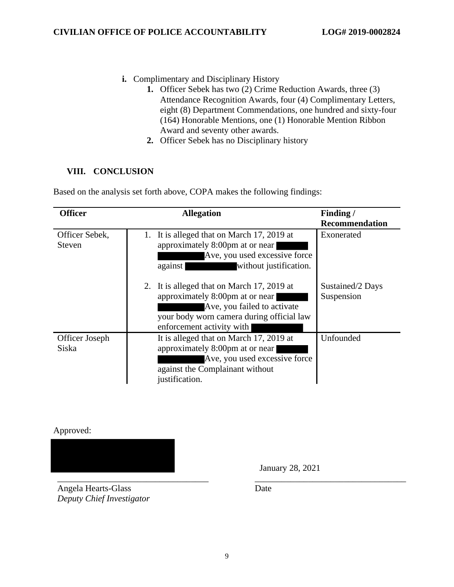- **i.** Complimentary and Disciplinary History
	- **1.** Officer Sebek has two (2) Crime Reduction Awards, three (3) Attendance Recognition Awards, four (4) Complimentary Letters, eight (8) Department Commendations, one hundred and sixty-four (164) Honorable Mentions, one (1) Honorable Mention Ribbon Award and seventy other awards.
	- **2.** Officer Sebek has no Disciplinary history

## **VIII. CONCLUSION**

Based on the analysis set forth above, COPA makes the following findings:

| <b>Officer</b>                  | <b>Allegation</b>                                                                                                                                                                      | Finding/<br><b>Recommendation</b> |
|---------------------------------|----------------------------------------------------------------------------------------------------------------------------------------------------------------------------------------|-----------------------------------|
| Officer Sebek,<br><b>Steven</b> | 1. It is alleged that on March 17, 2019 at<br>approximately 8:00pm at or near<br>Ave, you used excessive force<br>against<br>without justification.                                    | Exonerated                        |
|                                 | 2. It is alleged that on March 17, 2019 at<br>approximately 8:00pm at or near<br>Ave, you failed to activate<br>your body worn camera during official law<br>enforcement activity with | Sustained/2 Days<br>Suspension    |
| Officer Joseph<br>Siska         | It is alleged that on March 17, 2019 at<br>approximately 8:00pm at or near<br>Ave, you used excessive force<br>against the Complainant without<br>justification.                       | Unfounded                         |

Approved:

\_\_\_\_\_\_\_\_\_\_\_\_\_\_\_\_\_\_\_\_\_\_\_\_\_\_\_\_\_\_\_\_\_\_ \_\_\_\_\_\_\_\_\_\_\_\_\_\_\_\_\_\_\_\_\_\_\_\_\_\_\_\_\_\_\_\_\_\_ Angela Hearts-Glass *Deputy Chief Investigator*

January 28, 2021

Date